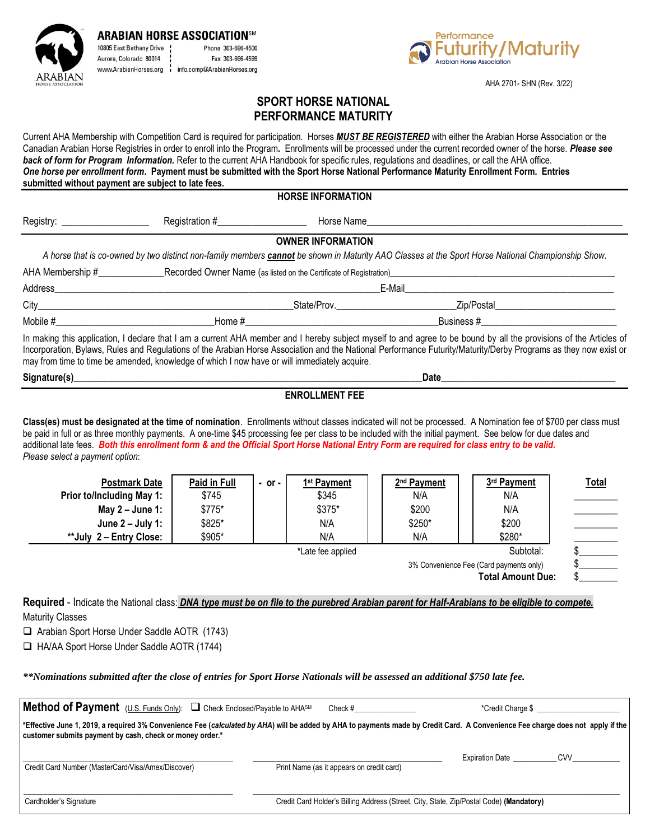**ARABIAN HORSE ASSOCIATIONSM** 10805 East Bethany Drive Phone 303-696-4500 Aurora, Colorado 80014 Fax 303-696-4599 www.ArabianHorses.org | info.comp@ArabianHorses.org



AHA 2701- SHN (Rev. 3/22)

# **SPORT HORSE NATIONAL PERFORMANCE MATURITY**

Current AHA Membership with Competition Card is required for participation. Horses *MUST BE REGISTERED* with either the Arabian Horse Association or the Canadian Arabian Horse Registries in order to enroll into the Program**.** Enrollments will be processed under the current recorded owner of the horse. *Please see back of form for Program Information.* Refer to the current AHA Handbook for specific rules, regulations and deadlines, or call the AHA office. *One horse per enrollment form***. Payment must be submitted with the Sport Horse National Performance Maturity Enrollment Form. Entries submitted without payment are subject to late fees.**

**HORSE INFORMATION**

|                              |                | יוטווראויט וויו בטועונו  |                                                                                                                                                                                                                                                                                                        |  |
|------------------------------|----------------|--------------------------|--------------------------------------------------------------------------------------------------------------------------------------------------------------------------------------------------------------------------------------------------------------------------------------------------------|--|
| Registry: _______________    | Registration # | Horse Name               |                                                                                                                                                                                                                                                                                                        |  |
|                              |                | <b>OWNER INFORMATION</b> |                                                                                                                                                                                                                                                                                                        |  |
|                              |                |                          | A horse that is co-owned by two distinct non-family members cannot be shown in Maturity AAO Classes at the Sport Horse National Championship Show.                                                                                                                                                     |  |
| AHA Membership #____________ |                |                          |                                                                                                                                                                                                                                                                                                        |  |
| Address_                     |                |                          | E-Mail                                                                                                                                                                                                                                                                                                 |  |
|                              |                | State/Prov.              | Zip/Postal                                                                                                                                                                                                                                                                                             |  |
| Mobile #                     |                |                          | Business #                                                                                                                                                                                                                                                                                             |  |
|                              |                |                          | In making this application, I declare that I am a current AHA member and I hereby subject myself to and agree to be bound by all the provisions of the Articles of<br>leeses also in the introductions of the Audio Hous Assets had stated in Audiosity (1994). Also also in the control of the states |  |

Incorporation, Bylaws, Rules and Regulations of the Arabian Horse Association and the National Performance Futurity/Maturity/Derby Programs as they now exist or may from time to time be amended, knowledge of which I now have or will immediately acquire.

| Siana | Date |  |
|-------|------|--|
|       |      |  |

#### **ENROLLMENT FEE**

**Class(es) must be designated at the time of nomination**. Enrollments without classes indicated will not be processed. A Nomination fee of \$700 per class must be paid in full or as three monthly payments. A one-time \$45 processing fee per class to be included with the initial payment. See below for due dates and additional late fees. *Both this enrollment form & and the Official Sport Horse National Entry Form are required for class entry to be valid. Please select a payment option*:

| <b>Postmark Date</b>      | Paid in Full | $-$ or $-$ | 1 <sup>st</sup> Payment | 2 <sup>nd</sup> Payment | 3rd Payment | <b>Total</b> |
|---------------------------|--------------|------------|-------------------------|-------------------------|-------------|--------------|
| Prior to/Including May 1: | \$745        |            | \$345                   | N/A                     | N/A         |              |
| May $2 -$ June 1:         | \$775*       |            | \$375*                  | \$200                   | N/A         |              |
| June $2 -$ July 1:        | \$825*       |            | N/A                     | \$250*                  | \$200       |              |
| **July 2 - Entry Close:   | \$905*       |            | N/A                     | N/A                     | \$280*      |              |
|                           |              |            | *Late fee applied       |                         | Subtotal:   |              |

**Total Amount Due: Required** - Indicate the National class: *DNA type must be on file to the purebred Arabian parent for Half-Arabians to be eligible to compete.*

3% Convenience Fee (Card payments only)

Maturity Classes

❑ Arabian Sport Horse Under Saddle AOTR (1743)

❑ HA/AA Sport Horse Under Saddle AOTR (1744)

*\*\*Nominations submitted after the close of entries for Sport Horse Nationals will be assessed an additional \$750 late fee.*

| Method of Payment (U.S. Funds Only): Q Check Enclosed/Payable to AHASM                                                                                                                                                                      | Check #                                                                                 | *Credit Charge \$      |            |
|---------------------------------------------------------------------------------------------------------------------------------------------------------------------------------------------------------------------------------------------|-----------------------------------------------------------------------------------------|------------------------|------------|
| *Effective June 1, 2019, a required 3% Convenience Fee (calculated by AHA) will be added by AHA to payments made by Credit Card. A Convenience Fee charge does not apply if the<br>customer submits payment by cash, check or money order.* |                                                                                         |                        |            |
| Credit Card Number (MasterCard/Visa/Amex/Discover)                                                                                                                                                                                          | Print Name (as it appears on credit card)                                               | <b>Expiration Date</b> | <b>CVV</b> |
| Cardholder's Signature                                                                                                                                                                                                                      | Credit Card Holder's Billing Address (Street, City, State, Zip/Postal Code) (Mandatory) |                        |            |